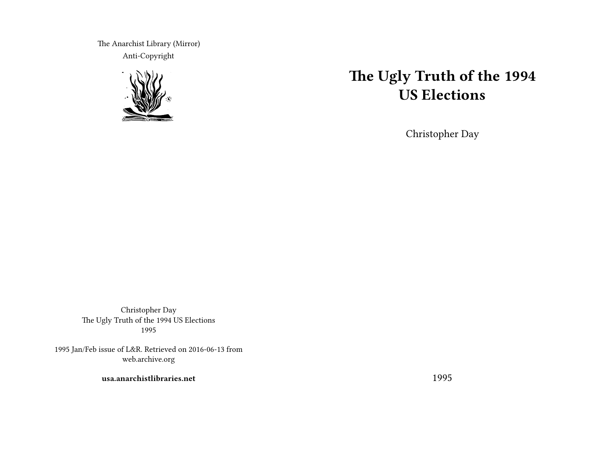The Anarchist Library (Mirror) Anti-Copyright



# **The Ugly Truth of the 1994 US Elections**

Christopher Day

Christopher Day The Ugly Truth of the 1994 US Elections 1995

1995 Jan/Feb issue of L&R. Retrieved on 2016-06-13 from web.archive.org

**usa.anarchistlibraries.net**

1995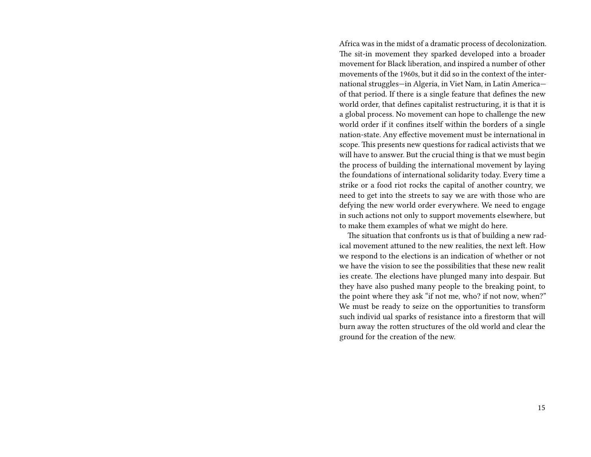Africa was in the midst of a dramatic process of decolonization. The sit-in movement they sparked developed into a broader movement for Black liberation, and inspired a number of other movements of the 1960s, but it did so in the context of the international struggles—in Algeria, in Viet Nam, in Latin America of that period. If there is a single feature that defines the new world order, that defines capitalist restructuring, it is that it is a global process. No movement can hope to challenge the new world order if it confines itself within the borders of a single nation-state. Any effective movement must be international in scope. This presents new questions for radical activists that we will have to answer. But the crucial thing is that we must begin the process of building the international movement by laying the foundations of international solidarity today. Every time a strike or a food riot rocks the capital of another country, we need to get into the streets to say we are with those who are defying the new world order everywhere. We need to engage in such actions not only to support movements elsewhere, but to make them examples of what we might do here.

The situation that confronts us is that of building a new radical movement attuned to the new realities, the next left. How we respond to the elections is an indication of whether or not we have the vision to see the possibilities that these new realit ies create. The elections have plunged many into despair. But they have also pushed many people to the breaking point, to the point where they ask "if not me, who? if not now, when?" We must be ready to seize on the opportunities to transform such individ ual sparks of resistance into a firestorm that will burn away the rotten structures of the old world and clear the ground for the creation of the new.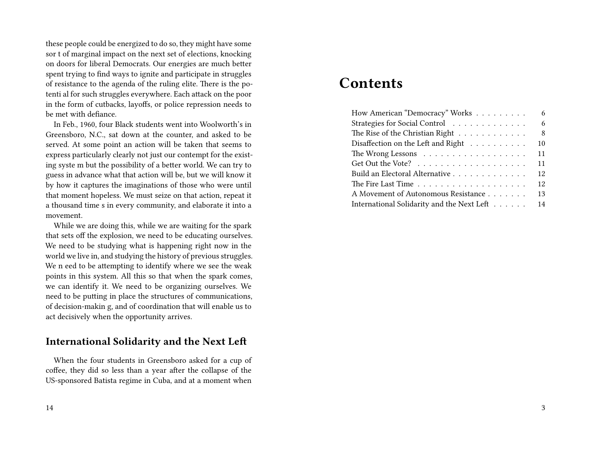these people could be energized to do so, they might have some sor t of marginal impact on the next set of elections, knocking on doors for liberal Democrats. Our energies are much better spent trying to find ways to ignite and participate in struggles of resistance to the agenda of the ruling elite. There is the potenti al for such struggles everywhere. Each attack on the poor in the form of cutbacks, layoffs, or police repression needs to be met with defiance.

In Feb., 1960, four Black students went into Woolworth's in Greensboro, N.C., sat down at the counter, and asked to be served. At some point an action will be taken that seems to express particularly clearly not just our contempt for the existing syste m but the possibility of a better world. We can try to guess in advance what that action will be, but we will know it by how it captures the imaginations of those who were until that moment hopeless. We must seize on that action, repeat it a thousand time s in every community, and elaborate it into a movement.

While we are doing this, while we are waiting for the spark that sets off the explosion, we need to be educating ourselves. We need to be studying what is happening right now in the world we live in, and studying the history of previous struggles. We n eed to be attempting to identify where we see the weak points in this system. All this so that when the spark comes, we can identify it. We need to be organizing ourselves. We need to be putting in place the structures of communications, of decision-makin g, and of coordination that will enable us to act decisively when the opportunity arrives.

# **International Solidarity and the Next Left**

When the four students in Greensboro asked for a cup of coffee, they did so less than a year after the collapse of the US-sponsored Batista regime in Cuba, and at a moment when

# **Contents**

| How American "Democracy" Works<br>6              |
|--------------------------------------------------|
| Strategies for Social Control<br>6               |
| The Rise of the Christian Right<br>8             |
| Disaffection on the Left and Right<br>10         |
| 11                                               |
| 11                                               |
| 12<br>Build an Electoral Alternative             |
| 12                                               |
| A Movement of Autonomous Resistance<br>13        |
| International Solidarity and the Next Left<br>14 |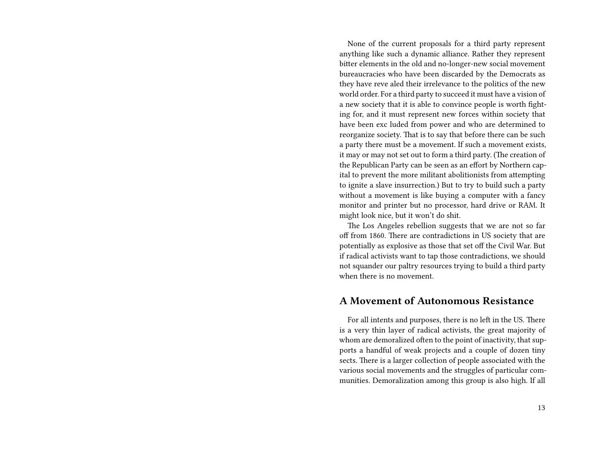None of the current proposals for a third party represent anything like such a dynamic alliance. Rather they represent bitter elements in the old and no-longer-new social movement bureaucracies who have been discarded by the Democrats as they have reve aled their irrelevance to the politics of the new world order. For a third party to succeed it must have a vision of a new society that it is able to convince people is worth fighting for, and it must represent new forces within society that have been exc luded from power and who are determined to reorganize society. That is to say that before there can be such a party there must be a movement. If such a movement exists, it may or may not set out to form a third party. (The creation of the Republican Party can be seen as an effort by Northern capital to prevent the more militant abolitionists from attempting to ignite a slave insurrection.) But to try to build such a party without a movement is like buying a computer with a fancy monitor and printer but no processor, hard drive or RAM. It might look nice, but it won't do shit.

The Los Angeles rebellion suggests that we are not so far off from 1860. There are contradictions in US society that are potentially as explosive as those that set off the Civil War. But if radical activists want to tap those contradictions, we should not squander our paltry resources trying to build a third party when there is no movement.

#### **A Movement of Autonomous Resistance**

For all intents and purposes, there is no left in the US. There is a very thin layer of radical activists, the great majority of whom are demoralized often to the point of inactivity, that supports a handful of weak projects and a couple of dozen tiny sects. There is a larger collection of people associated with the various social movements and the struggles of particular communities. Demoralization among this group is also high. If all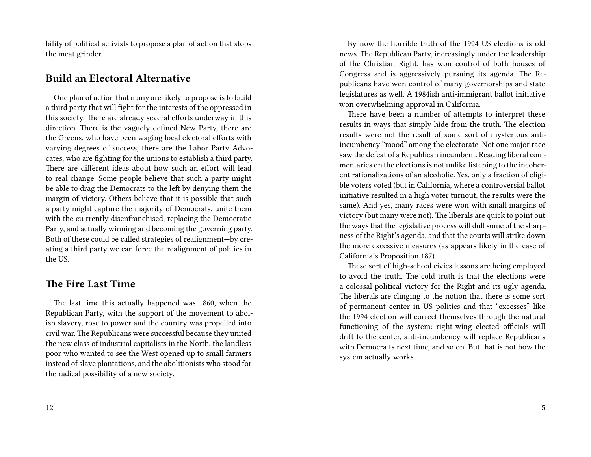bility of political activists to propose a plan of action that stops the meat grinder.

# **Build an Electoral Alternative**

One plan of action that many are likely to propose is to build a third party that will fight for the interests of the oppressed in this society. There are already several efforts underway in this direction. There is the vaguely defined New Party, there are the Greens, who have been waging local electoral efforts with varying degrees of success, there are the Labor Party Advocates, who are fighting for the unions to establish a third party. There are different ideas about how such an effort will lead to real change. Some people believe that such a party might be able to drag the Democrats to the left by denying them the margin of victory. Others believe that it is possible that such a party might capture the majority of Democrats, unite them with the cu rrently disenfranchised, replacing the Democratic Party, and actually winning and becoming the governing party. Both of these could be called strategies of realignment—by creating a third party we can force the realignment of politics in the US.

# **The Fire Last Time**

The last time this actually happened was 1860, when the Republican Party, with the support of the movement to abolish slavery, rose to power and the country was propelled into civil war. The Republicans were successful because they united the new class of industrial capitalists in the North, the landless poor who wanted to see the West opened up to small farmers instead of slave plantations, and the abolitionists who stood for the radical possibility of a new society.

By now the horrible truth of the 1994 US elections is old news. The Republican Party, increasingly under the leadership of the Christian Right, has won control of both houses of Congress and is aggressively pursuing its agenda. The Republicans have won control of many governorships and state legislatures as well. A 1984ish anti-immigrant ballot initiative won overwhelming approval in California.

There have been a number of attempts to interpret these results in ways that simply hide from the truth. The election results were not the result of some sort of mysterious antiincumbency "mood" among the electorate. Not one major race saw the defeat of a Republican incumbent. Reading liberal commentaries on the elections is not unlike listening to the incoherent rationalizations of an alcoholic. Yes, only a fraction of eligible voters voted (but in California, where a controversial ballot initiative resulted in a high voter turnout, the results were the same). And yes, many races were won with small margins of victory (but many were not). The liberals are quick to point out the ways that the legislative process will dull some of the sharpness of the Right's agenda, and that the courts will strike down the more excessive measures (as appears likely in the case of California's Proposition 187).

These sort of high-school civics lessons are being employed to avoid the truth. The cold truth is that the elections were a colossal political victory for the Right and its ugly agenda. The liberals are clinging to the notion that there is some sort of permanent center in US politics and that "excesses" like the 1994 election will correct themselves through the natural functioning of the system: right-wing elected officials will drift to the center, anti-incumbency will replace Republicans with Democra ts next time, and so on. But that is not how the system actually works.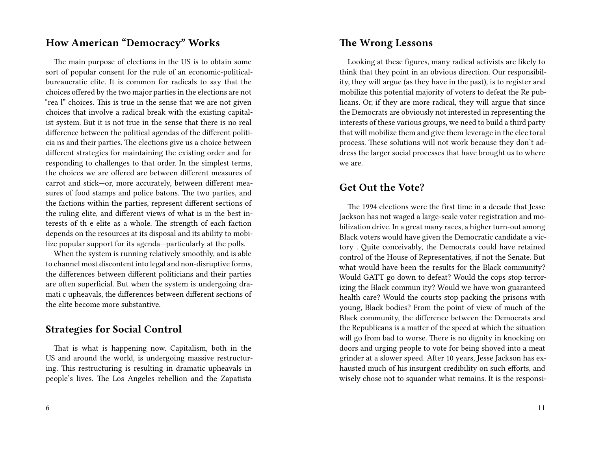#### **How American "Democracy" Works**

The main purpose of elections in the US is to obtain some sort of popular consent for the rule of an economic-politicalbureaucratic elite. It is common for radicals to say that the choices offered by the two major parties in the elections are not "rea l" choices. This is true in the sense that we are not given choices that involve a radical break with the existing capitalist system. But it is not true in the sense that there is no real difference between the political agendas of the different politicia ns and their parties. The elections give us a choice between different strategies for maintaining the existing order and for responding to challenges to that order. In the simplest terms, the choices we are offered are between different measures of carrot and stick—or, more accurately, between different measures of food stamps and police batons. The two parties, and the factions within the parties, represent different sections of the ruling elite, and different views of what is in the best interests of th e elite as a whole. The strength of each faction depends on the resources at its disposal and its ability to mobilize popular support for its agenda—particularly at the polls.

When the system is running relatively smoothly, and is able to channel most discontent into legal and non-disruptive forms, the differences between different politicians and their parties are often superficial. But when the system is undergoing dramati c upheavals, the differences between different sections of the elite become more substantive.

#### **Strategies for Social Control**

That is what is happening now. Capitalism, both in the US and around the world, is undergoing massive restructuring. This restructuring is resulting in dramatic upheavals in people's lives. The Los Angeles rebellion and the Zapatista

#### **The Wrong Lessons**

Looking at these figures, many radical activists are likely to think that they point in an obvious direction. Our responsibility, they will argue (as they have in the past), is to register and mobilize this potential majority of voters to defeat the Re publicans. Or, if they are more radical, they will argue that since the Democrats are obviously not interested in representing the interests of these various groups, we need to build a third party that will mobilize them and give them leverage in the elec toral process. These solutions will not work because they don't address the larger social processes that have brought us to where we are.

#### **Get Out the Vote?**

The 1994 elections were the first time in a decade that Jesse Jackson has not waged a large-scale voter registration and mobilization drive. In a great many races, a higher turn-out among Black voters would have given the Democratic candidate a victory . Quite conceivably, the Democrats could have retained control of the House of Representatives, if not the Senate. But what would have been the results for the Black community? Would GATT go down to defeat? Would the cops stop terrorizing the Black commun ity? Would we have won guaranteed health care? Would the courts stop packing the prisons with young, Black bodies? From the point of view of much of the Black community, the difference between the Democrats and the Republicans is a matter of the speed at which the situation will go from bad to worse. There is no dignity in knocking on doors and urging people to vote for being shoved into a meat grinder at a slower speed. After 10 years, Jesse Jackson has exhausted much of his insurgent credibility on such efforts, and wisely chose not to squander what remains. It is the responsi-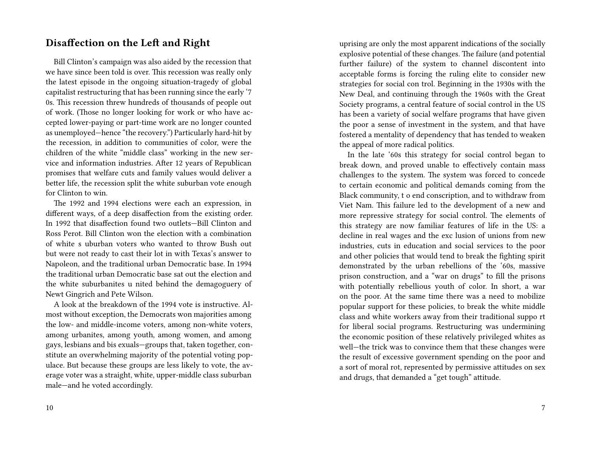#### **Disaffection on the Left and Right**

Bill Clinton's campaign was also aided by the recession that we have since been told is over. This recession was really only the latest episode in the ongoing situation-tragedy of global capitalist restructuring that has been running since the early '7 0s. This recession threw hundreds of thousands of people out of work. (Those no longer looking for work or who have accepted lower-paying or part-time work are no longer counted as unemployed—hence "the recovery.") Particularly hard-hit by the recession, in addition to communities of color, were the children of the white "middle class" working in the new service and information industries. After 12 years of Republican promises that welfare cuts and family values would deliver a better life, the recession split the white suburban vote enough for Clinton to win.

The 1992 and 1994 elections were each an expression, in different ways, of a deep disaffection from the existing order. In 1992 that disaffection found two outlets—Bill Clinton and Ross Perot. Bill Clinton won the election with a combination of white s uburban voters who wanted to throw Bush out but were not ready to cast their lot in with Texas's answer to Napoleon, and the traditional urban Democratic base. In 1994 the traditional urban Democratic base sat out the election and the white suburbanites u nited behind the demagoguery of Newt Gingrich and Pete Wilson.

A look at the breakdown of the 1994 vote is instructive. Almost without exception, the Democrats won majorities among the low- and middle-income voters, among non-white voters, among urbanites, among youth, among women, and among gays, lesbians and bis exuals—groups that, taken together, constitute an overwhelming majority of the potential voting populace. But because these groups are less likely to vote, the average voter was a straight, white, upper-middle class suburban male—and he voted accordingly.

uprising are only the most apparent indications of the socially explosive potential of these changes. The failure (and potential further failure) of the system to channel discontent into acceptable forms is forcing the ruling elite to consider new strategies for social con trol. Beginning in the 1930s with the New Deal, and continuing through the 1960s with the Great Society programs, a central feature of social control in the US has been a variety of social welfare programs that have given the poor a sense of investment in the system, and that have fostered a mentality of dependency that has tended to weaken the appeal of more radical politics.

In the late '60s this strategy for social control began to break down, and proved unable to effectively contain mass challenges to the system. The system was forced to concede to certain economic and political demands coming from the Black community, t o end conscription, and to withdraw from Viet Nam. This failure led to the development of a new and more repressive strategy for social control. The elements of this strategy are now familiar features of life in the US: a decline in real wages and the exc lusion of unions from new industries, cuts in education and social services to the poor and other policies that would tend to break the fighting spirit demonstrated by the urban rebellions of the '60s, massive prison construction, and a "war on drugs" to fill the prisons with potentially rebellious youth of color. In short, a war on the poor. At the same time there was a need to mobilize popular support for these policies, to break the white middle class and white workers away from their traditional suppo rt for liberal social programs. Restructuring was undermining the economic position of these relatively privileged whites as well—the trick was to convince them that these changes were the result of excessive government spending on the poor and a sort of moral rot, represented by permissive attitudes on sex and drugs, that demanded a "get tough" attitude.